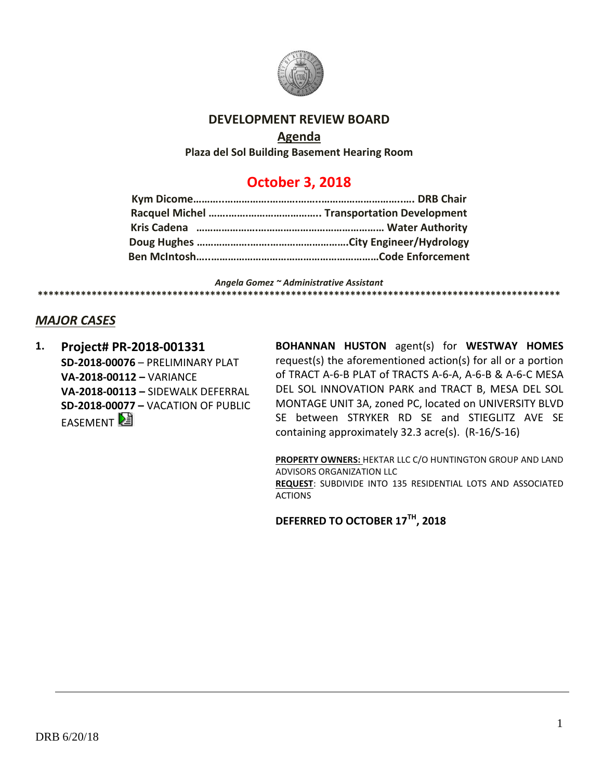

### **DEVELOPMENT REVIEW BOARD**

### **Agenda**

**Plaza del Sol Building Basement Hearing Room**

# **October 3, 2018**

*Angela Gomez ~ Administrative Assistant* **\*\*\*\*\*\*\*\*\*\*\*\*\*\*\*\*\*\*\*\*\*\*\*\*\*\*\*\*\*\*\*\*\*\*\*\*\*\*\*\*\*\*\*\*\*\*\*\*\*\*\*\*\*\*\*\*\*\*\*\*\*\*\*\*\*\*\*\*\*\*\*\*\*\*\*\*\*\*\*\*\*\*\*\*\*\*\*\*\*\*\*\*\*\*\*\*\***

## *MAJOR CASES*

**1. Project# PR-2018-001331 SD-2018-00076** – PRELIMINARY PLAT **VA-2018-00112 –** VARIANCE **VA-2018-00113 –** SIDEWALK DEFERRAL **SD-2018-00077 –** VACATION OF PUBLIC **EASEMENT** 

**BOHANNAN HUSTON** agent(s) for **WESTWAY HOMES** request(s) the aforementioned action(s) for all or a portion of TRACT A-6-B PLAT of TRACTS A-6-A, A-6-B & A-6-C MESA DEL SOL INNOVATION PARK and TRACT B, MESA DEL SOL MONTAGE UNIT 3A, zoned PC, located on UNIVERSITY BLVD SE between STRYKER RD SE and STIEGLITZ AVE SE containing approximately 32.3 acre(s). (R-16/S-16)

**PROPERTY OWNERS:** HEKTAR LLC C/O HUNTINGTON GROUP AND LAND ADVISORS ORGANIZATION LLC **REQUEST**: SUBDIVIDE INTO 135 RESIDENTIAL LOTS AND ASSOCIATED **ACTIONS** 

**DEFERRED TO OCTOBER 17TH, 2018**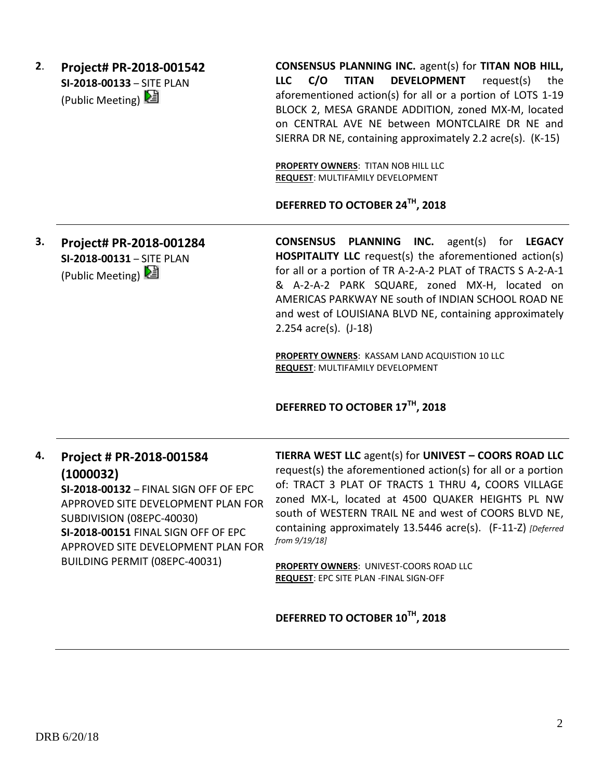**2**. **Project# PR-2018-001542 SI-2018-00133** – SITE PLAN (Public Meeting)

**CONSENSUS PLANNING INC.** agent(s) for **TITAN NOB HILL, LLC C/O TITAN DEVELOPMENT** request(s) the aforementioned action(s) for all or a portion of LOTS 1-19 BLOCK 2, MESA GRANDE ADDITION, zoned MX-M, located on CENTRAL AVE NE between MONTCLAIRE DR NE and SIERRA DR NE, containing approximately 2.2 acre(s). (K-15)

**PROPERTY OWNERS**: TITAN NOB HILL LLC **REQUEST**: MULTIFAMILY DEVELOPMENT

**DEFERRED TO OCTOBER 24TH, 2018**

**3. Project# PR-2018-001284 SI-2018-00131** – SITE PLAN (Public Meeting)

**CONSENSUS PLANNING INC.** agent(s) for **LEGACY HOSPITALITY LLC** request(s) the aforementioned action(s) for all or a portion of TR A-2-A-2 PLAT of TRACTS S A-2-A-1 & A-2-A-2 PARK SQUARE, zoned MX-H, located on AMERICAS PARKWAY NE south of INDIAN SCHOOL ROAD NE and west of LOUISIANA BLVD NE, containing approximately 2.254 acre(s). (J-18)

**PROPERTY OWNERS**: KASSAM LAND ACQUISTION 10 LLC **REQUEST**: MULTIFAMILY DEVELOPMENT

## **DEFERRED TO OCTOBER 17TH, 2018**

**4. Project # PR-2018-001584 (1000032) SI-2018-00132** – FINAL SIGN OFF OF EPC APPROVED SITE DEVELOPMENT PLAN FOR SUBDIVISION (08EPC-40030) **SI-2018-00151** FINAL SIGN OFF OF EPC APPROVED SITE DEVELOPMENT PLAN FOR BUILDING PERMIT (08EPC-40031)

**TIERRA WEST LLC** agent(s) for **UNIVEST – COORS ROAD LLC** request(s) the aforementioned action(s) for all or a portion of: TRACT 3 PLAT OF TRACTS 1 THRU 4**,** COORS VILLAGE zoned MX-L, located at 4500 QUAKER HEIGHTS PL NW south of WESTERN TRAIL NE and west of COORS BLVD NE, containing approximately 13.5446 acre(s). (F-11-Z) *[Deferred from 9/19/18]*

**PROPERTY OWNERS**: UNIVEST-COORS ROAD LLC **REQUEST**: EPC SITE PLAN -FINAL SIGN-OFF

**DEFERRED TO OCTOBER 10TH, 2018**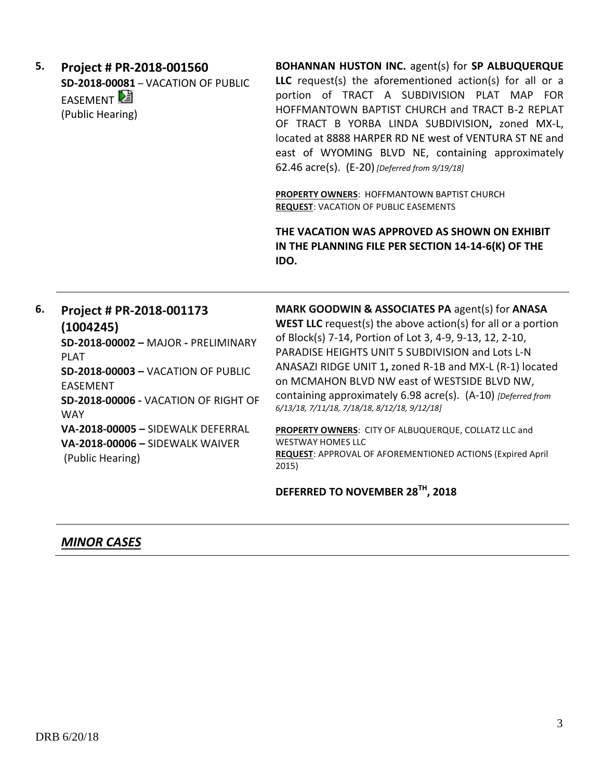| 5.<br>6. | Project # PR-2018-001560<br><b>SD-2018-00081 - VACATION OF PUBLIC</b><br>EASEMENT<br>(Public Hearing)                                                                                                                                                                                                         | BOHANNAN HUSTON INC. agent(s) for SP ALBUQUERQUE<br>LLC request(s) the aforementioned action(s) for all or a<br>portion of TRACT A SUBDIVISION PLAT MAP FOR<br>HOFFMANTOWN BAPTIST CHURCH and TRACT B-2 REPLAT<br>OF TRACT B YORBA LINDA SUBDIVISION, zoned MX-L,<br>located at 8888 HARPER RD NE west of VENTURA ST NE and<br>east of WYOMING BLVD NE, containing approximately<br>62.46 acre(s). (E-20) [Deferred from 9/19/18]<br>PROPERTY OWNERS: HOFFMANTOWN BAPTIST CHURCH<br><b>REQUEST: VACATION OF PUBLIC EASEMENTS</b><br>THE VACATION WAS APPROVED AS SHOWN ON EXHIBIT<br>IN THE PLANNING FILE PER SECTION 14-14-6(K) OF THE<br>IDO. |
|----------|---------------------------------------------------------------------------------------------------------------------------------------------------------------------------------------------------------------------------------------------------------------------------------------------------------------|-------------------------------------------------------------------------------------------------------------------------------------------------------------------------------------------------------------------------------------------------------------------------------------------------------------------------------------------------------------------------------------------------------------------------------------------------------------------------------------------------------------------------------------------------------------------------------------------------------------------------------------------------|
|          | Project # PR-2018-001173<br>(1004245)<br>SD-2018-00002 - MAJOR - PRELIMINARY<br><b>PLAT</b><br><b>SD-2018-00003 - VACATION OF PUBLIC</b><br><b>EASEMENT</b><br>SD-2018-00006 - VACATION OF RIGHT OF<br><b>WAY</b><br>VA-2018-00005 - SIDEWALK DEFERRAL<br>VA-2018-00006 - SIDEWALK WAIVER<br>(Public Hearing) | MARK GOODWIN & ASSOCIATES PA agent(s) for ANASA<br><b>WEST LLC</b> request(s) the above $action(s)$ for all or a portion<br>of Block(s) 7-14, Portion of Lot 3, 4-9, 9-13, 12, 2-10,<br>PARADISE HEIGHTS UNIT 5 SUBDIVISION and Lots L-N<br>ANASAZI RIDGE UNIT 1, zoned R-1B and MX-L (R-1) located<br>on MCMAHON BLVD NW east of WESTSIDE BLVD NW,<br>containing approximately 6.98 acre(s). (A-10) [Deferred from<br>6/13/18, 7/11/18, 7/18/18, 8/12/18, 9/12/18]<br>PROPERTY OWNERS: CITY OF ALBUQUERQUE, COLLATZ LLC and<br><b>WESTWAY HOMES LLC</b><br>REQUEST: APPROVAL OF AFOREMENTIONED ACTIONS (Expired April<br>2015)                 |
|          |                                                                                                                                                                                                                                                                                                               | DEFERRED TO NOVEMBER 28TH, 2018                                                                                                                                                                                                                                                                                                                                                                                                                                                                                                                                                                                                                 |

## *MINOR CASES*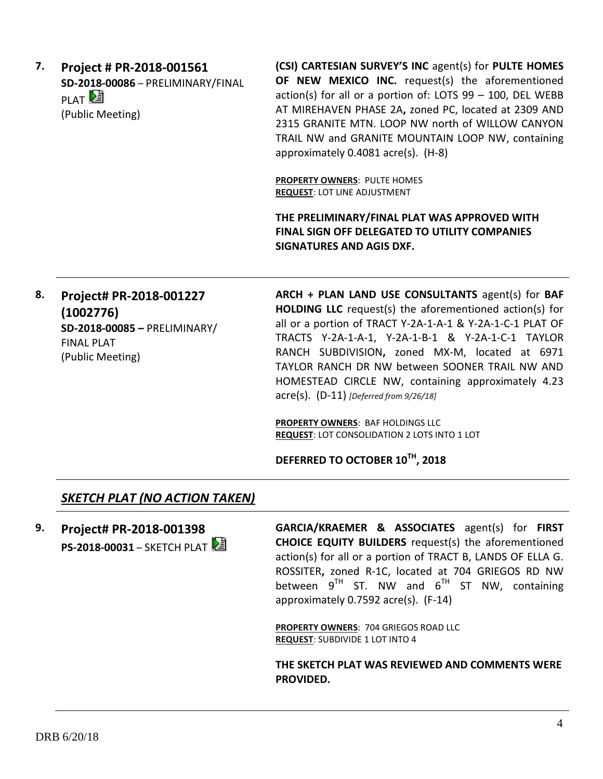**7. Project # PR-2018-001561 SD-2018-00086** – PRELIMINARY/FINAL PLAT<sup>[2</sup> (Public Meeting)

**(CSI) CARTESIAN SURVEY'S INC** agent(s) for **PULTE HOMES OF NEW MEXICO INC.** request(s) the aforementioned action(s) for all or a portion of: LOTS 99 – 100, DEL WEBB AT MIREHAVEN PHASE 2A**,** zoned PC, located at 2309 AND 2315 GRANITE MTN. LOOP NW north of WILLOW CANYON TRAIL NW and GRANITE MOUNTAIN LOOP NW, containing approximately 0.4081 acre(s). (H-8)

**PROPERTY OWNERS**: PULTE HOMES **REQUEST**: LOT LINE ADJUSTMENT

**THE PRELIMINARY/FINAL PLAT WAS APPROVED WITH FINAL SIGN OFF DELEGATED TO UTILITY COMPANIES SIGNATURES AND AGIS DXF.**

## **8. Project# PR-2018-001227 (1002776) SD-2018-00085 –** PRELIMINARY/ FINAL PLAT (Public Meeting)

**ARCH + PLAN LAND USE CONSULTANTS** agent(s) for **BAF HOLDING LLC** request(s) the aforementioned action(s) for all or a portion of TRACT Y-2A-1-A-1 & Y-2A-1-C-1 PLAT OF TRACTS Y-2A-1-A-1, Y-2A-1-B-1 & Y-2A-1-C-1 TAYLOR RANCH SUBDIVISION**,** zoned MX-M, located at 6971 TAYLOR RANCH DR NW between SOONER TRAIL NW AND HOMESTEAD CIRCLE NW, containing approximately 4.23 acre(s). (D-11) *[Deferred from 9/26/18]*

**PROPERTY OWNERS**: BAF HOLDINGS LLC **REQUEST**: LOT CONSOLIDATION 2 LOTS INTO 1 LOT

**DEFERRED TO OCTOBER 10TH, 2018**

## *SKETCH PLAT (NO ACTION TAKEN)*

**9. Project# PR-2018-001398 PS-2018-00031 – SKETCH PLAT**  **GARCIA/KRAEMER & ASSOCIATES** agent(s) for **FIRST CHOICE EQUITY BUILDERS** request(s) the aforementioned action(s) for all or a portion of TRACT B, LANDS OF ELLA G. ROSSITER**,** zoned R-1C, located at 704 GRIEGOS RD NW between  $9^{TH}$  ST. NW and  $6^{TH}$  ST NW, containing approximately 0.7592 acre(s). (F-14)

**PROPERTY OWNERS**: 704 GRIEGOS ROAD LLC **REQUEST**: SUBDIVIDE 1 LOT INTO 4

**THE SKETCH PLAT WAS REVIEWED AND COMMENTS WERE PROVIDED.**